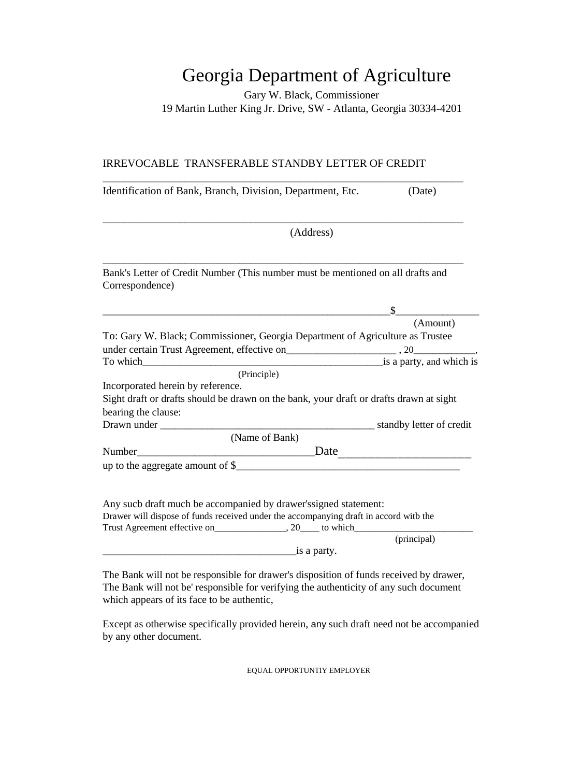## Georgia Department of Agriculture

Gary W. Black, Commissioner 19 Martin Luther King Jr. Drive, SW - Atlanta, Georgia 30334-4201

## IRREVOCABLE TRANSFERABLE STANDBY LETTER OF CREDIT

| Identification of Bank, Branch, Division, Department, Etc.                                         | (Date)                            |
|----------------------------------------------------------------------------------------------------|-----------------------------------|
| (Address)                                                                                          |                                   |
|                                                                                                    |                                   |
| Bank's Letter of Credit Number (This number must be mentioned on all drafts and<br>Correspondence) |                                   |
|                                                                                                    | $\frac{\S}{\S}$                   |
|                                                                                                    | (Amount)                          |
| To: Gary W. Black; Commissioner, Georgia Department of Agriculture as Trustee                      |                                   |
|                                                                                                    |                                   |
|                                                                                                    |                                   |
| (Principle)                                                                                        |                                   |
| Incorporated herein by reference.                                                                  |                                   |
| Sight draft or drafts should be drawn on the bank, your draft or drafts drawn at sight             |                                   |
| bearing the clause:                                                                                |                                   |
|                                                                                                    |                                   |
| (Name of Bank)                                                                                     |                                   |
|                                                                                                    | $\frac{\text{Date}}{\text{Date}}$ |
|                                                                                                    |                                   |
|                                                                                                    |                                   |
| Any sucb draft much be accompanied by drawer's signed statement:                                   |                                   |
| Drawer will dispose of funds received under the accompanying draft in accord witb the              |                                   |
|                                                                                                    |                                   |
|                                                                                                    | (principal)                       |
| $\frac{1}{\sin \theta}$ is a party.                                                                |                                   |

The Bank will not be responsible for drawer's disposition of funds received by drawer, The Bank will not be' responsible for verifying the authenticity of any such document which appears of its face to be authentic,

Except as otherwise specifically provided herein, any such draft need not be accompanied by any other document.

EQUAL OPPORTUNTIY EMPLOYER